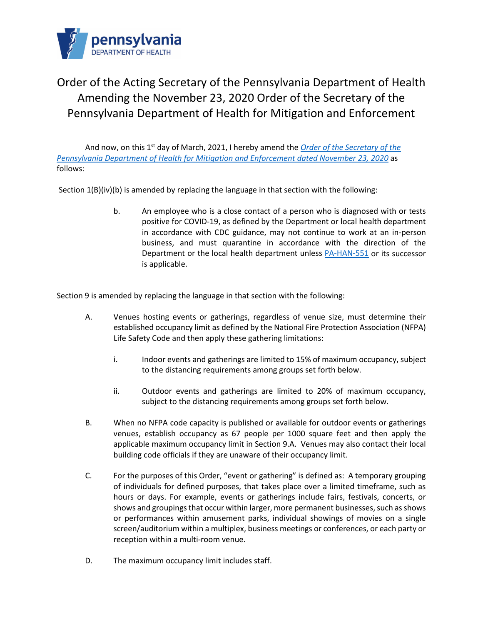

## Order of the Acting Secretary of the Pennsylvania Department of Health Amending the November 23, 2020 Order of the Secretary of the Pennsylvania Department of Health for Mitigation and Enforcement

And now, on this 1st day of March, 2021, I hereby amend the *[Order of the Secretary of the](https://www.governor.pa.gov/wp-content/uploads/2020/11/20201123-Order-of-the-Secretary-for-Mitigation-and-Enforcement-SIGNED.pdf)  [Pennsylvania Department of Health for Mitigation and Enforcement](https://www.governor.pa.gov/wp-content/uploads/2020/11/20201123-Order-of-the-Secretary-for-Mitigation-and-Enforcement-SIGNED.pdf) dated November 23, 2020* as follows:

Section  $1(B)(iv)(b)$  is amended by replacing the language in that section with the following:

b. An employee who is a close contact of a person who is diagnosed with or tests positive for COVID-19, as defined by the Department or local health department in accordance with CDC guidance, may not continue to work at an in-person business, and must quarantine in accordance with the direction of the Department or the local health department unless [PA-HAN-551](https://www.health.pa.gov/topics/Documents/HAN/2021-PAHAN-551-2-12-UPD%20-%20Quarantine.pdf) or its successor is applicable.

Section 9 is amended by replacing the language in that section with the following:

- A. Venues hosting events or gatherings, regardless of venue size, must determine their established occupancy limit as defined by the National Fire Protection Association (NFPA) Life Safety Code and then apply these gathering limitations:
	- i. Indoor events and gatherings are limited to 15% of maximum occupancy, subject to the distancing requirements among groups set forth below.
	- ii. Outdoor events and gatherings are limited to 20% of maximum occupancy, subject to the distancing requirements among groups set forth below.
- B. When no NFPA code capacity is published or available for outdoor events or gatherings venues, establish occupancy as 67 people per 1000 square feet and then apply the applicable maximum occupancy limit in Section 9.A. Venues may also contact their local building code officials if they are unaware of their occupancy limit.
- C. For the purposes of this Order, "event or gathering" is defined as: A temporary grouping of individuals for defined purposes, that takes place over a limited timeframe, such as hours or days. For example, events or gatherings include fairs, festivals, concerts, or shows and groupings that occur within larger, more permanent businesses, such as shows or performances within amusement parks, individual showings of movies on a single screen/auditorium within a multiplex, business meetings or conferences, or each party or reception within a multi-room venue.
- D. The maximum occupancy limit includes staff.